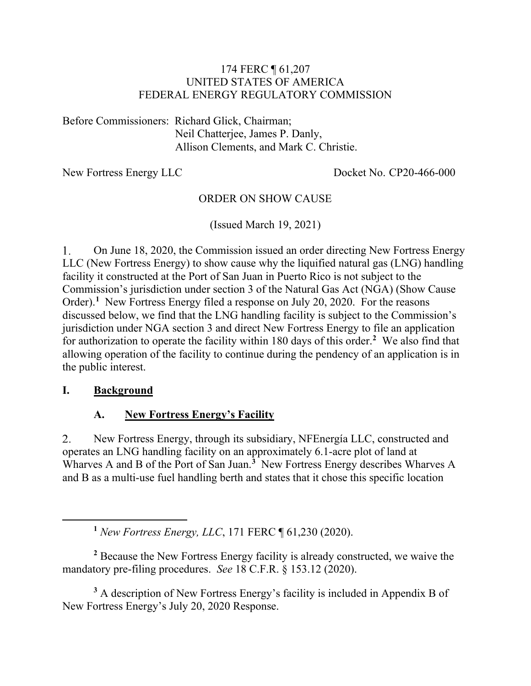### 174 FERC ¶ 61,207 UNITED STATES OF AMERICA FEDERAL ENERGY REGULATORY COMMISSION

Before Commissioners: Richard Glick, Chairman; Neil Chatterjee, James P. Danly, Allison Clements, and Mark C. Christie.

New Fortress Energy LLC Docket No. CP20-466-000

### ORDER ON SHOW CAUSE

(Issued March 19, 2021)

On June 18, 2020, the Commission issued an order directing New Fortress Energy 1. LLC (New Fortress Energy) to show cause why the liquified natural gas (LNG) handling facility it constructed at the Port of San Juan in Puerto Rico is not subject to the Commission's jurisdiction under section 3 of the Natural Gas Act (NGA) (Show Cause Order).<sup>[1](#page-0-0)</sup> New Fortress Energy filed a response on July 20, 2020. For the reasons discussed below, we find that the LNG handling facility is subject to the Commission's jurisdiction under NGA section 3 and direct New Fortress Energy to file an application for authorization to operate the facility within 180 days of this order.**[2](#page-0-1)** We also find that allowing operation of the facility to continue during the pendency of an application is in the public interest.

#### **I. Background**

### **A. New Fortress Energy's Facility**

2. New Fortress Energy, through its subsidiary, NFEnergía LLC, constructed and operates an LNG handling facility on an approximately 6.1-acre plot of land at Wharves A and B of the Port of San Juan.**[3](#page-0-2)** New Fortress Energy describes Wharves A and B as a multi-use fuel handling berth and states that it chose this specific location

**<sup>1</sup>** *New Fortress Energy, LLC*, 171 FERC ¶ 61,230 (2020).

<span id="page-0-1"></span><span id="page-0-0"></span>**<sup>2</sup>** Because the New Fortress Energy facility is already constructed, we waive the mandatory pre-filing procedures. *See* 18 C.F.R. § 153.12 (2020).

<span id="page-0-2"></span>**<sup>3</sup>** A description of New Fortress Energy's facility is included in Appendix B of New Fortress Energy's July 20, 2020 Response.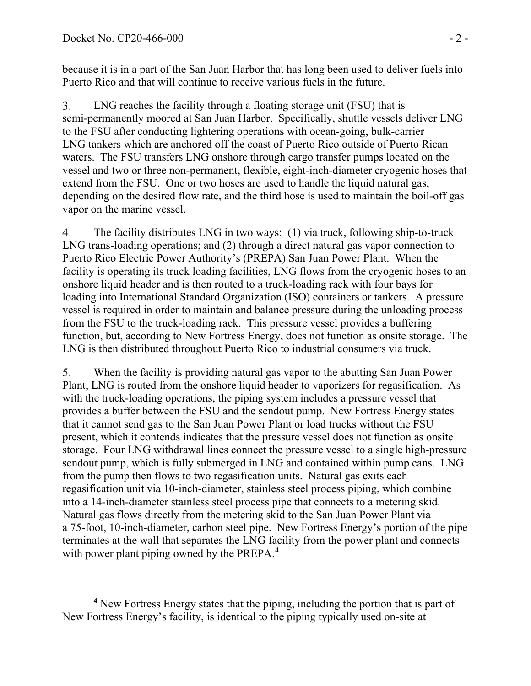because it is in a part of the San Juan Harbor that has long been used to deliver fuels into Puerto Rico and that will continue to receive various fuels in the future.

LNG reaches the facility through a floating storage unit (FSU) that is 3. semi-permanently moored at San Juan Harbor. Specifically, shuttle vessels deliver LNG to the FSU after conducting lightering operations with ocean-going, bulk-carrier LNG tankers which are anchored off the coast of Puerto Rico outside of Puerto Rican waters. The FSU transfers LNG onshore through cargo transfer pumps located on the vessel and two or three non-permanent, flexible, eight-inch-diameter cryogenic hoses that extend from the FSU. One or two hoses are used to handle the liquid natural gas, depending on the desired flow rate, and the third hose is used to maintain the boil-off gas vapor on the marine vessel.

The facility distributes LNG in two ways: (1) via truck, following ship-to-truck 4. LNG trans-loading operations; and (2) through a direct natural gas vapor connection to Puerto Rico Electric Power Authority's (PREPA) San Juan Power Plant. When the facility is operating its truck loading facilities, LNG flows from the cryogenic hoses to an onshore liquid header and is then routed to a truck-loading rack with four bays for loading into International Standard Organization (ISO) containers or tankers. A pressure vessel is required in order to maintain and balance pressure during the unloading process from the FSU to the truck-loading rack. This pressure vessel provides a buffering function, but, according to New Fortress Energy, does not function as onsite storage. The LNG is then distributed throughout Puerto Rico to industrial consumers via truck.

5. When the facility is providing natural gas vapor to the abutting San Juan Power Plant, LNG is routed from the onshore liquid header to vaporizers for regasification. As with the truck-loading operations, the piping system includes a pressure vessel that provides a buffer between the FSU and the sendout pump. New Fortress Energy states that it cannot send gas to the San Juan Power Plant or load trucks without the FSU present, which it contends indicates that the pressure vessel does not function as onsite storage. Four LNG withdrawal lines connect the pressure vessel to a single high-pressure sendout pump, which is fully submerged in LNG and contained within pump cans. LNG from the pump then flows to two regasification units. Natural gas exits each regasification unit via 10-inch-diameter, stainless steel process piping, which combine into a 14-inch-diameter stainless steel process pipe that connects to a metering skid. Natural gas flows directly from the metering skid to the San Juan Power Plant via a 75-foot, 10-inch-diameter, carbon steel pipe. New Fortress Energy's portion of the pipe terminates at the wall that separates the LNG facility from the power plant and connects with power plant piping owned by the PREPA.**[4](#page-1-0)**

<span id="page-1-0"></span>**<sup>4</sup>** New Fortress Energy states that the piping, including the portion that is part of New Fortress Energy's facility, is identical to the piping typically used on-site at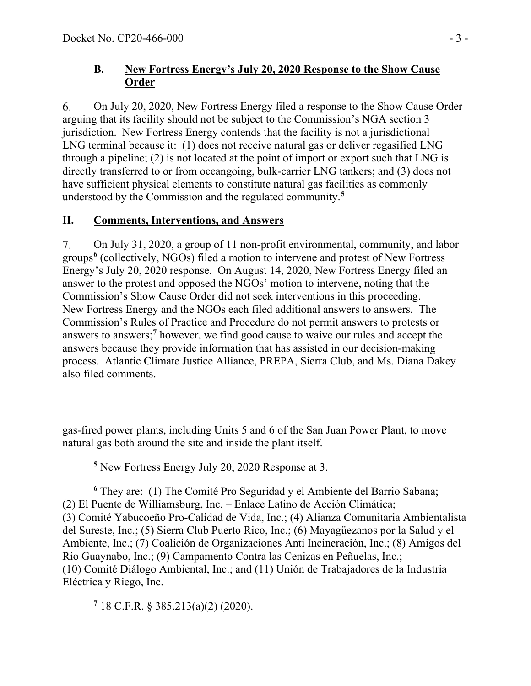## **B. New Fortress Energy's July 20, 2020 Response to the Show Cause Order**

On July 20, 2020, New Fortress Energy filed a response to the Show Cause Order 6. arguing that its facility should not be subject to the Commission's NGA section 3 jurisdiction. New Fortress Energy contends that the facility is not a jurisdictional LNG terminal because it: (1) does not receive natural gas or deliver regasified LNG through a pipeline; (2) is not located at the point of import or export such that LNG is directly transferred to or from oceangoing, bulk-carrier LNG tankers; and (3) does not have sufficient physical elements to constitute natural gas facilities as commonly understood by the Commission and the regulated community.**[5](#page-2-0)**

## **II. Comments, Interventions, and Answers**

7. On July 31, 2020, a group of 11 non-profit environmental, community, and labor groups**[6](#page-2-1)** (collectively, NGOs) filed a motion to intervene and protest of New Fortress Energy's July 20, 2020 response. On August 14, 2020, New Fortress Energy filed an answer to the protest and opposed the NGOs' motion to intervene, noting that the Commission's Show Cause Order did not seek interventions in this proceeding. New Fortress Energy and the NGOs each filed additional answers to answers. The Commission's Rules of Practice and Procedure do not permit answers to protests or answers to answers; **[7](#page-2-2)** however, we find good cause to waive our rules and accept the answers because they provide information that has assisted in our decision-making process. Atlantic Climate Justice Alliance, PREPA, Sierra Club, and Ms. Diana Dakey also filed comments.

<span id="page-2-2"></span>**<sup>7</sup>** 18 C.F.R. § 385.213(a)(2) (2020).

gas-fired power plants, including Units 5 and 6 of the San Juan Power Plant, to move natural gas both around the site and inside the plant itself.

**<sup>5</sup>** New Fortress Energy July 20, 2020 Response at 3.

<span id="page-2-1"></span><span id="page-2-0"></span>**<sup>6</sup>** They are: (1) The Comité Pro Seguridad y el Ambiente del Barrio Sabana; (2) El Puente de Williamsburg, Inc. – Enlace Latino de Acción Climática; (3) Comité Yabucoeño Pro-Calidad de Vida, Inc.; (4) Alianza Comunitaria Ambientalista del Sureste, Inc.; (5) Sierra Club Puerto Rico, Inc.; (6) Mayagüezanos por la Salud y el Ambiente, Inc.; (7) Coalición de Organizaciones Anti Incineración, Inc.; (8) Amigos del Río Guaynabo, Inc.; (9) Campamento Contra las Cenizas en Peñuelas, Inc.; (10) Comité Diálogo Ambiental, Inc.; and (11) Unión de Trabajadores de la Industria Eléctrica y Riego, Inc.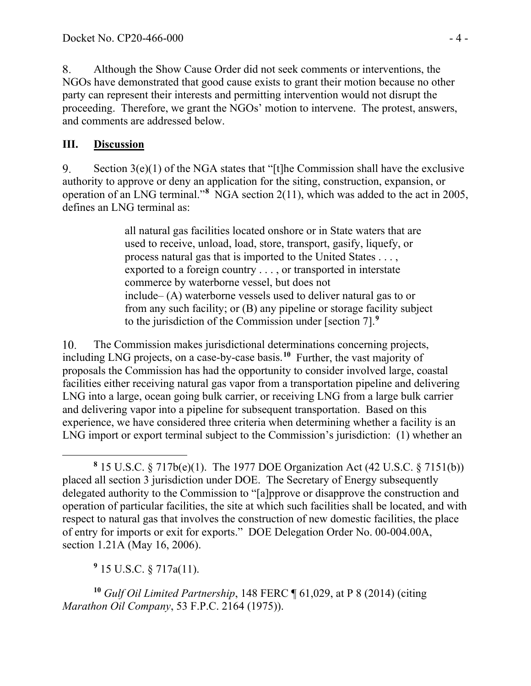8. Although the Show Cause Order did not seek comments or interventions, the NGOs have demonstrated that good cause exists to grant their motion because no other party can represent their interests and permitting intervention would not disrupt the proceeding. Therefore, we grant the NGOs' motion to intervene. The protest, answers, and comments are addressed below.

## **III. Discussion**

Section  $3(e)(1)$  of the NGA states that "[t]he Commission shall have the exclusive 9. authority to approve or deny an application for the siting, construction, expansion, or operation of an LNG terminal."**[8](#page-3-0)** NGA section 2(11), which was added to the act in 2005, defines an LNG terminal as:

> all natural gas facilities located onshore or in State waters that are used to receive, unload, load, store, transport, gasify, liquefy, or process natural gas that is imported to the United States . . . , exported to a foreign country . . . , or transported in interstate commerce by waterborne vessel, but does not include– (A) waterborne vessels used to deliver natural gas to or from any such facility; or (B) any pipeline or storage facility subject to the jurisdiction of the Commission under [section 7].**[9](#page-3-1)**

The Commission makes jurisdictional determinations concerning projects,  $10.$ including LNG projects, on a case-by-case basis. **[10](#page-3-2)** Further, the vast majority of proposals the Commission has had the opportunity to consider involved large, coastal facilities either receiving natural gas vapor from a transportation pipeline and delivering LNG into a large, ocean going bulk carrier, or receiving LNG from a large bulk carrier and delivering vapor into a pipeline for subsequent transportation. Based on this experience, we have considered three criteria when determining whether a facility is an LNG import or export terminal subject to the Commission's jurisdiction: (1) whether an

**<sup>9</sup>** 15 U.S.C. § 717a(11).

<span id="page-3-2"></span><span id="page-3-1"></span>**<sup>10</sup>** *Gulf Oil Limited Partnership*, 148 FERC ¶ 61,029, at P 8 (2014) (citing *Marathon Oil Company*, 53 F.P.C. 2164 (1975)).

<span id="page-3-0"></span>**<sup>8</sup>** 15 U.S.C. § 717b(e)(1). The 1977 DOE Organization Act (42 U.S.C. § 7151(b)) placed all section 3 jurisdiction under DOE. The Secretary of Energy subsequently delegated authority to the Commission to "[a]pprove or disapprove the construction and operation of particular facilities, the site at which such facilities shall be located, and with respect to natural gas that involves the construction of new domestic facilities, the place of entry for imports or exit for exports." DOE Delegation Order No. 00-004.00A, section 1.21A (May 16, 2006).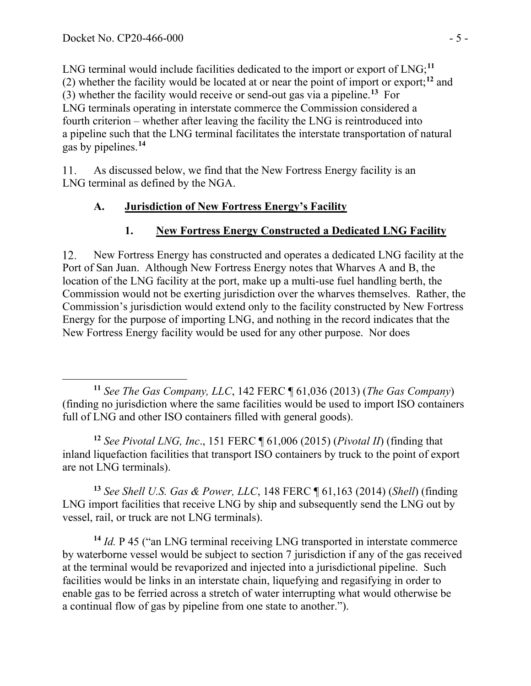LNG terminal would include facilities dedicated to the import or export of LNG;<sup>[11](#page-4-0)</sup> (2) whether the facility would be located at or near the point of import or export; **[12](#page-4-1)** and (3) whether the facility would receive or send-out gas via a pipeline.**[13](#page-4-2)** For LNG terminals operating in interstate commerce the Commission considered a fourth criterion – whether after leaving the facility the LNG is reintroduced into a pipeline such that the LNG terminal facilitates the interstate transportation of natural gas by pipelines.**[14](#page-4-3)**

11. As discussed below, we find that the New Fortress Energy facility is an LNG terminal as defined by the NGA.

## **A. Jurisdiction of New Fortress Energy's Facility**

## **1. New Fortress Energy Constructed a Dedicated LNG Facility**

12. New Fortress Energy has constructed and operates a dedicated LNG facility at the Port of San Juan. Although New Fortress Energy notes that Wharves A and B, the location of the LNG facility at the port, make up a multi-use fuel handling berth, the Commission would not be exerting jurisdiction over the wharves themselves. Rather, the Commission's jurisdiction would extend only to the facility constructed by New Fortress Energy for the purpose of importing LNG, and nothing in the record indicates that the New Fortress Energy facility would be used for any other purpose. Nor does

<span id="page-4-1"></span>**<sup>12</sup>** *See Pivotal LNG, Inc*., 151 FERC ¶ 61,006 (2015) (*Pivotal II*) (finding that inland liquefaction facilities that transport ISO containers by truck to the point of export are not LNG terminals).

<span id="page-4-2"></span>**<sup>13</sup>** *See Shell U.S. Gas & Power, LLC*, 148 FERC ¶ 61,163 (2014) (*Shell*) (finding LNG import facilities that receive LNG by ship and subsequently send the LNG out by vessel, rail, or truck are not LNG terminals).

<span id="page-4-3"></span>**<sup>14</sup>** *Id.* P 45 ("an LNG terminal receiving LNG transported in interstate commerce by waterborne vessel would be subject to section 7 jurisdiction if any of the gas received at the terminal would be revaporized and injected into a jurisdictional pipeline. Such facilities would be links in an interstate chain, liquefying and regasifying in order to enable gas to be ferried across a stretch of water interrupting what would otherwise be a continual flow of gas by pipeline from one state to another.").

<span id="page-4-0"></span>**<sup>11</sup>** *See The Gas Company, LLC*, 142 FERC ¶ 61,036 (2013) (*The Gas Company*) (finding no jurisdiction where the same facilities would be used to import ISO containers full of LNG and other ISO containers filled with general goods).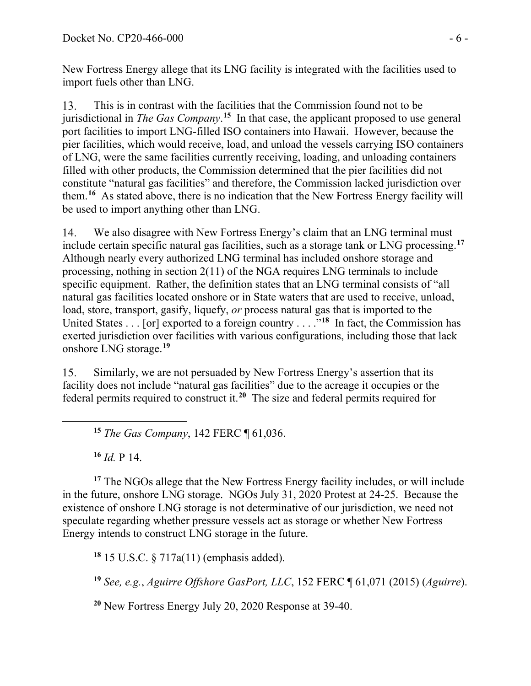New Fortress Energy allege that its LNG facility is integrated with the facilities used to import fuels other than LNG.

This is in contrast with the facilities that the Commission found not to be 13. jurisdictional in *The Gas Company*. **[15](#page-5-0)** In that case, the applicant proposed to use general port facilities to import LNG-filled ISO containers into Hawaii. However, because the pier facilities, which would receive, load, and unload the vessels carrying ISO containers of LNG, were the same facilities currently receiving, loading, and unloading containers filled with other products, the Commission determined that the pier facilities did not constitute "natural gas facilities" and therefore, the Commission lacked jurisdiction over them. **[16](#page-5-1)** As stated above, there is no indication that the New Fortress Energy facility will be used to import anything other than LNG.

We also disagree with New Fortress Energy's claim that an LNG terminal must 14. include certain specific natural gas facilities, such as a storage tank or LNG processing. **[17](#page-5-2)** Although nearly every authorized LNG terminal has included onshore storage and processing, nothing in section 2(11) of the NGA requires LNG terminals to include specific equipment. Rather, the definition states that an LNG terminal consists of "all natural gas facilities located onshore or in State waters that are used to receive, unload, load, store, transport, gasify, liquefy, *or* process natural gas that is imported to the United States . . . [or] exported to a foreign country . . . .<sup>"[18](#page-5-3)</sup> In fact, the Commission has exerted jurisdiction over facilities with various configurations, including those that lack onshore LNG storage.**[19](#page-5-4)**

Similarly, we are not persuaded by New Fortress Energy's assertion that its 15. facility does not include "natural gas facilities" due to the acreage it occupies or the federal permits required to construct it.**[20](#page-5-5)** The size and federal permits required for

**<sup>15</sup>** *The Gas Company*, 142 FERC ¶ 61,036.

**<sup>16</sup>** *Id.* P 14.

<span id="page-5-2"></span><span id="page-5-1"></span><span id="page-5-0"></span>**<sup>17</sup>** The NGOs allege that the New Fortress Energy facility includes, or will include in the future, onshore LNG storage. NGOs July 31, 2020 Protest at 24-25. Because the existence of onshore LNG storage is not determinative of our jurisdiction, we need not speculate regarding whether pressure vessels act as storage or whether New Fortress Energy intends to construct LNG storage in the future.

<span id="page-5-3"></span>**<sup>18</sup>** 15 U.S.C. § 717a(11) (emphasis added).

<span id="page-5-4"></span>**<sup>19</sup>** *See, e.g.*, *Aguirre Offshore GasPort, LLC*, 152 FERC ¶ 61,071 (2015) (*Aguirre*).

<span id="page-5-5"></span>**<sup>20</sup>** New Fortress Energy July 20, 2020 Response at 39-40.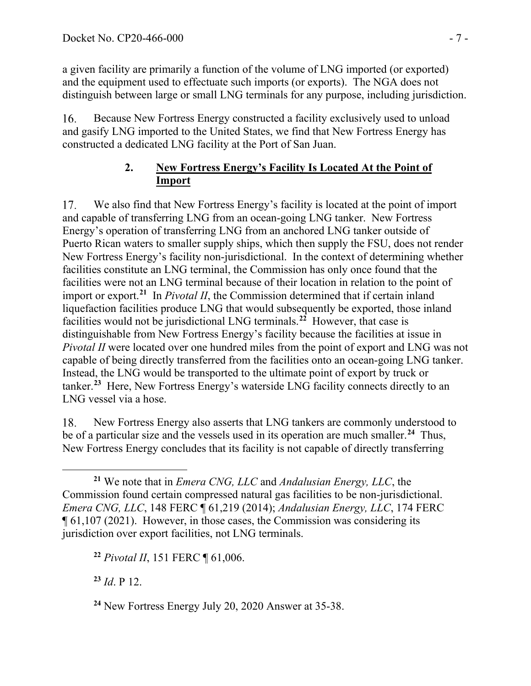a given facility are primarily a function of the volume of LNG imported (or exported) and the equipment used to effectuate such imports (or exports). The NGA does not distinguish between large or small LNG terminals for any purpose, including jurisdiction.

Because New Fortress Energy constructed a facility exclusively used to unload 16. and gasify LNG imported to the United States, we find that New Fortress Energy has constructed a dedicated LNG facility at the Port of San Juan.

## **2. New Fortress Energy's Facility Is Located At the Point of Import**

17. We also find that New Fortress Energy's facility is located at the point of import and capable of transferring LNG from an ocean-going LNG tanker. New Fortress Energy's operation of transferring LNG from an anchored LNG tanker outside of Puerto Rican waters to smaller supply ships, which then supply the FSU, does not render New Fortress Energy's facility non-jurisdictional. In the context of determining whether facilities constitute an LNG terminal, the Commission has only once found that the facilities were not an LNG terminal because of their location in relation to the point of import or export.**[21](#page-6-0)** In *Pivotal II*, the Commission determined that if certain inland liquefaction facilities produce LNG that would subsequently be exported, those inland facilities would not be jurisdictional LNG terminals.**[22](#page-6-1)** However, that case is distinguishable from New Fortress Energy's facility because the facilities at issue in *Pivotal II* were located over one hundred miles from the point of export and LNG was not capable of being directly transferred from the facilities onto an ocean-going LNG tanker. Instead, the LNG would be transported to the ultimate point of export by truck or tanker. **[23](#page-6-2)** Here, New Fortress Energy's waterside LNG facility connects directly to an LNG vessel via a hose.

18. New Fortress Energy also asserts that LNG tankers are commonly understood to be of a particular size and the vessels used in its operation are much smaller.**[24](#page-6-3)** Thus, New Fortress Energy concludes that its facility is not capable of directly transferring

<span id="page-6-1"></span>**<sup>22</sup>** *Pivotal II*, 151 FERC ¶ 61,006.

<span id="page-6-2"></span>**<sup>23</sup>** *Id*. P 12.

<span id="page-6-0"></span>**<sup>21</sup>** We note that in *Emera CNG, LLC* and *Andalusian Energy, LLC*, the Commission found certain compressed natural gas facilities to be non-jurisdictional. *Emera CNG, LLC*, 148 FERC ¶ 61,219 (2014); *Andalusian Energy, LLC*, 174 FERC ¶ 61,107 (2021). However, in those cases, the Commission was considering its jurisdiction over export facilities, not LNG terminals.

<span id="page-6-3"></span>**<sup>24</sup>** New Fortress Energy July 20, 2020 Answer at 35-38.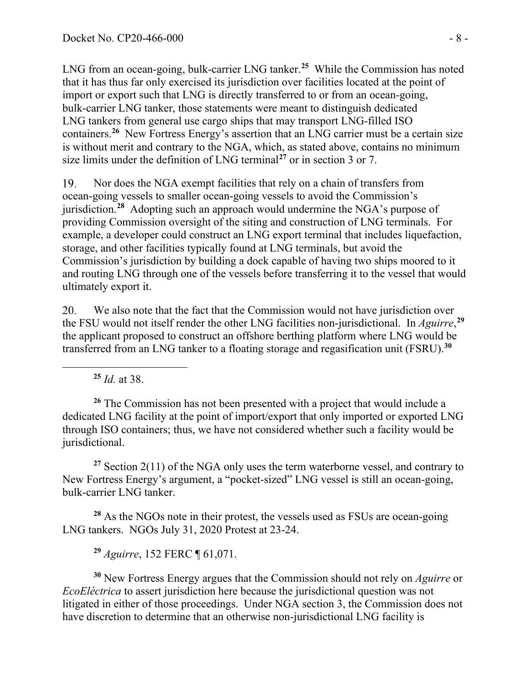LNG from an ocean-going, bulk-carrier LNG tanker.**[25](#page-7-0)** While the Commission has noted that it has thus far only exercised its jurisdiction over facilities located at the point of import or export such that LNG is directly transferred to or from an ocean-going, bulk-carrier LNG tanker, those statements were meant to distinguish dedicated LNG tankers from general use cargo ships that may transport LNG-filled ISO containers. **[26](#page-7-1)** New Fortress Energy's assertion that an LNG carrier must be a certain size is without merit and contrary to the NGA, which, as stated above, contains no minimum size limits under the definition of LNG terminal**[27](#page-7-2)** or in section 3 or 7.

19. Nor does the NGA exempt facilities that rely on a chain of transfers from ocean-going vessels to smaller ocean-going vessels to avoid the Commission's jurisdiction.**[28](#page-7-3)** Adopting such an approach would undermine the NGA's purpose of providing Commission oversight of the siting and construction of LNG terminals. For example, a developer could construct an LNG export terminal that includes liquefaction, storage, and other facilities typically found at LNG terminals, but avoid the Commission's jurisdiction by building a dock capable of having two ships moored to it and routing LNG through one of the vessels before transferring it to the vessel that would ultimately export it.

20. We also note that the fact that the Commission would not have jurisdiction over the FSU would not itself render the other LNG facilities non-jurisdictional. In *Aguirre*, **[29](#page-7-4)** the applicant proposed to construct an offshore berthing platform where LNG would be transferred from an LNG tanker to a floating storage and regasification unit (FSRU).**[30](#page-7-5)**

**<sup>25</sup>** *Id.* at 38.

<span id="page-7-1"></span><span id="page-7-0"></span>**<sup>26</sup>** The Commission has not been presented with a project that would include a dedicated LNG facility at the point of import/export that only imported or exported LNG through ISO containers; thus, we have not considered whether such a facility would be jurisdictional.

<span id="page-7-2"></span>**<sup>27</sup>** Section 2(11) of the NGA only uses the term waterborne vessel, and contrary to New Fortress Energy's argument, a "pocket-sized" LNG vessel is still an ocean-going, bulk-carrier LNG tanker.

<span id="page-7-3"></span>**<sup>28</sup>** As the NGOs note in their protest, the vessels used as FSUs are ocean-going LNG tankers. NGOs July 31, 2020 Protest at 23-24.

**<sup>29</sup>** *Aguirre*, 152 FERC ¶ 61,071.

<span id="page-7-5"></span><span id="page-7-4"></span>**<sup>30</sup>** New Fortress Energy argues that the Commission should not rely on *Aguirre* or *EcoEléctrica* to assert jurisdiction here because the jurisdictional question was not litigated in either of those proceedings. Under NGA section 3, the Commission does not have discretion to determine that an otherwise non-jurisdictional LNG facility is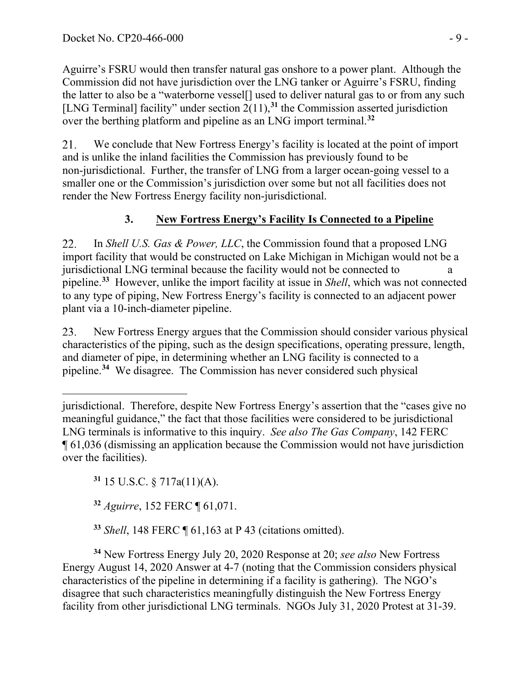Aguirre's FSRU would then transfer natural gas onshore to a power plant. Although the Commission did not have jurisdiction over the LNG tanker or Aguirre's FSRU, finding the latter to also be a "waterborne vessel[] used to deliver natural gas to or from any such [LNG Terminal] facility" under section  $2(11)$ ,<sup>[31](#page-8-0)</sup> the Commission asserted jurisdiction over the berthing platform and pipeline as an LNG import terminal.**[32](#page-8-1)**

21. We conclude that New Fortress Energy's facility is located at the point of import and is unlike the inland facilities the Commission has previously found to be non-jurisdictional. Further, the transfer of LNG from a larger ocean-going vessel to a smaller one or the Commission's jurisdiction over some but not all facilities does not render the New Fortress Energy facility non-jurisdictional.

## **3. New Fortress Energy's Facility Is Connected to a Pipeline**

22. In *Shell U.S. Gas & Power, LLC*, the Commission found that a proposed LNG import facility that would be constructed on Lake Michigan in Michigan would not be a jurisdictional LNG terminal because the facility would not be connected to pipeline. **[33](#page-8-2)** However, unlike the import facility at issue in *Shell*, which was not connected to any type of piping, New Fortress Energy's facility is connected to an adjacent power plant via a 10-inch-diameter pipeline.

New Fortress Energy argues that the Commission should consider various physical 23. characteristics of the piping, such as the design specifications, operating pressure, length, and diameter of pipe, in determining whether an LNG facility is connected to a pipeline.**[34](#page-8-3)** We disagree. The Commission has never considered such physical

<span id="page-8-0"></span>**<sup>31</sup>** 15 U.S.C. § 717a(11)(A).

**<sup>32</sup>** *Aguirre*, 152 FERC ¶ 61,071.

**<sup>33</sup>** *Shell*, 148 FERC ¶ 61,163 at P 43 (citations omitted).

<span id="page-8-3"></span><span id="page-8-2"></span><span id="page-8-1"></span>**<sup>34</sup>** New Fortress Energy July 20, 2020 Response at 20; *see also* New Fortress Energy August 14, 2020 Answer at 4-7 (noting that the Commission considers physical characteristics of the pipeline in determining if a facility is gathering). The NGO's disagree that such characteristics meaningfully distinguish the New Fortress Energy facility from other jurisdictional LNG terminals. NGOs July 31, 2020 Protest at 31-39.

jurisdictional. Therefore, despite New Fortress Energy's assertion that the "cases give no meaningful guidance," the fact that those facilities were considered to be jurisdictional LNG terminals is informative to this inquiry. *See also The Gas Company*, 142 FERC ¶ 61,036 (dismissing an application because the Commission would not have jurisdiction over the facilities).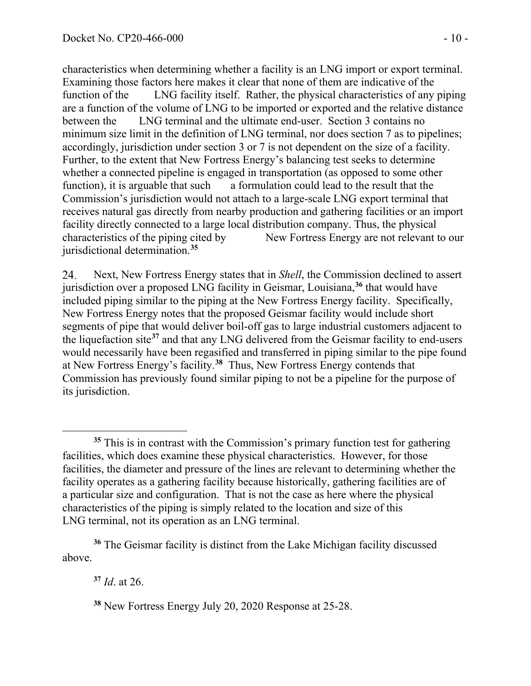characteristics when determining whether a facility is an LNG import or export terminal. Examining those factors here makes it clear that none of them are indicative of the function of the LNG facility itself. Rather, the physical characteristics of any piping are a function of the volume of LNG to be imported or exported and the relative distance between the LNG terminal and the ultimate end-user. Section 3 contains no minimum size limit in the definition of LNG terminal, nor does section 7 as to pipelines; accordingly, jurisdiction under section 3 or 7 is not dependent on the size of a facility. Further, to the extent that New Fortress Energy's balancing test seeks to determine whether a connected pipeline is engaged in transportation (as opposed to some other function), it is arguable that such a formulation could lead to the result that the Commission's jurisdiction would not attach to a large-scale LNG export terminal that receives natural gas directly from nearby production and gathering facilities or an import facility directly connected to a large local distribution company. Thus, the physical characteristics of the piping cited by New Fortress Energy are not relevant to our jurisdictional determination.**[35](#page-9-0)**

24. Next, New Fortress Energy states that in *Shell*, the Commission declined to assert jurisdiction over a proposed LNG facility in Geismar, Louisiana, **[36](#page-9-1)** that would have included piping similar to the piping at the New Fortress Energy facility. Specifically, New Fortress Energy notes that the proposed Geismar facility would include short segments of pipe that would deliver boil-off gas to large industrial customers adjacent to the liquefaction site**[37](#page-9-2)** and that any LNG delivered from the Geismar facility to end-users would necessarily have been regasified and transferred in piping similar to the pipe found at New Fortress Energy's facility. **[38](#page-9-3)** Thus, New Fortress Energy contends that Commission has previously found similar piping to not be a pipeline for the purpose of its jurisdiction.

**<sup>37</sup>** *Id*. at 26.

<span id="page-9-0"></span>**<sup>35</sup>** This is in contrast with the Commission's primary function test for gathering facilities, which does examine these physical characteristics. However, for those facilities, the diameter and pressure of the lines are relevant to determining whether the facility operates as a gathering facility because historically, gathering facilities are of a particular size and configuration. That is not the case as here where the physical characteristics of the piping is simply related to the location and size of this LNG terminal, not its operation as an LNG terminal.

<span id="page-9-3"></span><span id="page-9-2"></span><span id="page-9-1"></span>**<sup>36</sup>** The Geismar facility is distinct from the Lake Michigan facility discussed above.

**<sup>38</sup>** New Fortress Energy July 20, 2020 Response at 25-28.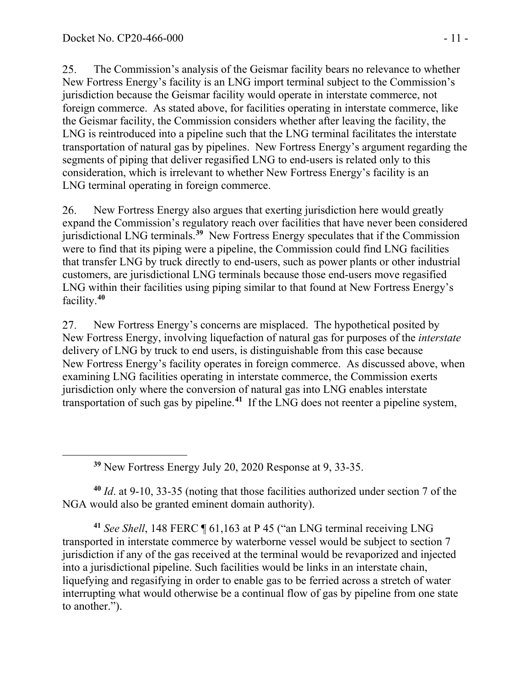25. The Commission's analysis of the Geismar facility bears no relevance to whether New Fortress Energy's facility is an LNG import terminal subject to the Commission's jurisdiction because the Geismar facility would operate in interstate commerce, not foreign commerce. As stated above, for facilities operating in interstate commerce, like the Geismar facility, the Commission considers whether after leaving the facility, the LNG is reintroduced into a pipeline such that the LNG terminal facilitates the interstate transportation of natural gas by pipelines. New Fortress Energy's argument regarding the segments of piping that deliver regasified LNG to end-users is related only to this consideration, which is irrelevant to whether New Fortress Energy's facility is an LNG terminal operating in foreign commerce.

26. New Fortress Energy also argues that exerting jurisdiction here would greatly expand the Commission's regulatory reach over facilities that have never been considered jurisdictional LNG terminals.**[39](#page-10-0)** New Fortress Energy speculates that if the Commission were to find that its piping were a pipeline, the Commission could find LNG facilities that transfer LNG by truck directly to end-users, such as power plants or other industrial customers, are jurisdictional LNG terminals because those end-users move regasified LNG within their facilities using piping similar to that found at New Fortress Energy's facility. **[40](#page-10-1)**

27. New Fortress Energy's concerns are misplaced. The hypothetical posited by New Fortress Energy, involving liquefaction of natural gas for purposes of the *interstate* delivery of LNG by truck to end users, is distinguishable from this case because New Fortress Energy's facility operates in foreign commerce. As discussed above, when examining LNG facilities operating in interstate commerce, the Commission exerts jurisdiction only where the conversion of natural gas into LNG enables interstate transportation of such gas by pipeline.**[41](#page-10-2)** If the LNG does not reenter a pipeline system,

**<sup>39</sup>** New Fortress Energy July 20, 2020 Response at 9, 33-35.

<span id="page-10-1"></span><span id="page-10-0"></span>**<sup>40</sup>** *Id*. at 9-10, 33-35 (noting that those facilities authorized under section 7 of the NGA would also be granted eminent domain authority).

<span id="page-10-2"></span>**<sup>41</sup>** *See Shell*, 148 FERC ¶ 61,163 at P 45 ("an LNG terminal receiving LNG transported in interstate commerce by waterborne vessel would be subject to section 7 jurisdiction if any of the gas received at the terminal would be revaporized and injected into a jurisdictional pipeline. Such facilities would be links in an interstate chain, liquefying and regasifying in order to enable gas to be ferried across a stretch of water interrupting what would otherwise be a continual flow of gas by pipeline from one state to another.").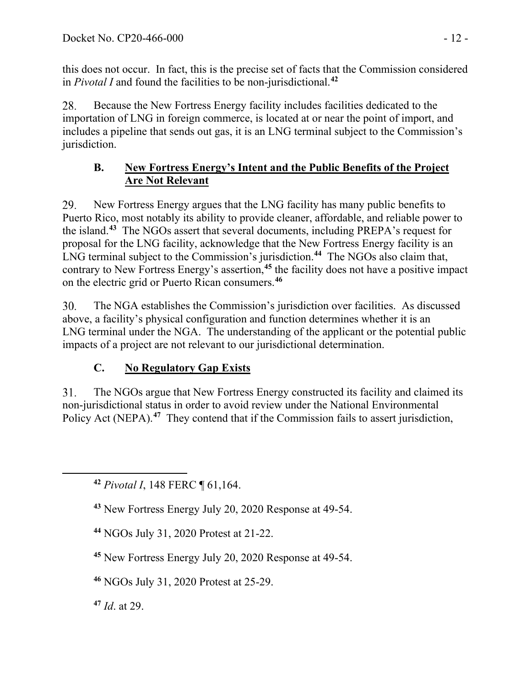this does not occur. In fact, this is the precise set of facts that the Commission considered in *Pivotal I* and found the facilities to be non-jurisdictional. **[42](#page-11-0)**

28. Because the New Fortress Energy facility includes facilities dedicated to the importation of LNG in foreign commerce, is located at or near the point of import, and includes a pipeline that sends out gas, it is an LNG terminal subject to the Commission's jurisdiction.

## **B. New Fortress Energy's Intent and the Public Benefits of the Project Are Not Relevant**

29. New Fortress Energy argues that the LNG facility has many public benefits to Puerto Rico, most notably its ability to provide cleaner, affordable, and reliable power to the island.**[43](#page-11-1)** The NGOs assert that several documents, including PREPA's request for proposal for the LNG facility, acknowledge that the New Fortress Energy facility is an LNG terminal subject to the Commission's jurisdiction.**[44](#page-11-2)** The NGOs also claim that, contrary to New Fortress Energy's assertion,**[45](#page-11-3)** the facility does not have a positive impact on the electric grid or Puerto Rican consumers.**[46](#page-11-4)**

30. The NGA establishes the Commission's jurisdiction over facilities. As discussed above, a facility's physical configuration and function determines whether it is an LNG terminal under the NGA. The understanding of the applicant or the potential public impacts of a project are not relevant to our jurisdictional determination.

# **C. No Regulatory Gap Exists**

The NGOs argue that New Fortress Energy constructed its facility and claimed its  $31.$ non-jurisdictional status in order to avoid review under the National Environmental Policy Act (NEPA).<sup>[47](#page-11-5)</sup> They contend that if the Commission fails to assert jurisdiction,

<span id="page-11-2"></span>**<sup>44</sup>** NGOs July 31, 2020 Protest at 21-22.

<span id="page-11-3"></span>**<sup>45</sup>** New Fortress Energy July 20, 2020 Response at 49-54.

<span id="page-11-4"></span>**<sup>46</sup>** NGOs July 31, 2020 Protest at 25-29.

<span id="page-11-5"></span>**<sup>47</sup>** *Id*. at 29.

<span id="page-11-0"></span>**<sup>42</sup>** *Pivotal I*, 148 FERC ¶ 61,164.

<span id="page-11-1"></span>**<sup>43</sup>** New Fortress Energy July 20, 2020 Response at 49-54.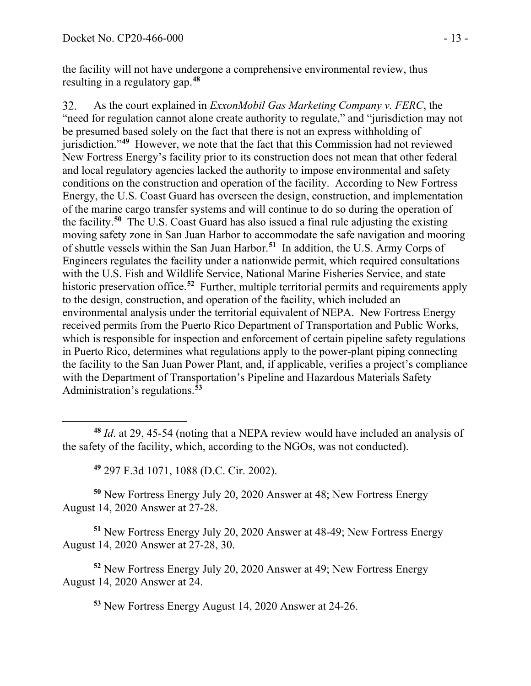the facility will not have undergone a comprehensive environmental review, thus resulting in a regulatory gap.**[48](#page-12-0)**

32. As the court explained in *ExxonMobil Gas Marketing Company v. FERC*, the "need for regulation cannot alone create authority to regulate," and "jurisdiction may not be presumed based solely on the fact that there is not an express withholding of jurisdiction."**[49](#page-12-1)** However, we note that the fact that this Commission had not reviewed New Fortress Energy's facility prior to its construction does not mean that other federal and local regulatory agencies lacked the authority to impose environmental and safety conditions on the construction and operation of the facility. According to New Fortress Energy, the U.S. Coast Guard has overseen the design, construction, and implementation of the marine cargo transfer systems and will continue to do so during the operation of the facility.**[50](#page-12-2)** The U.S. Coast Guard has also issued a final rule adjusting the existing moving safety zone in San Juan Harbor to accommodate the safe navigation and mooring of shuttle vessels within the San Juan Harbor.**[51](#page-12-3)** In addition, the U.S. Army Corps of Engineers regulates the facility under a nationwide permit, which required consultations with the U.S. Fish and Wildlife Service, National Marine Fisheries Service, and state historic preservation office.<sup>[52](#page-12-4)</sup> Further, multiple territorial permits and requirements apply to the design, construction, and operation of the facility, which included an environmental analysis under the territorial equivalent of NEPA. New Fortress Energy received permits from the Puerto Rico Department of Transportation and Public Works, which is responsible for inspection and enforcement of certain pipeline safety regulations in Puerto Rico, determines what regulations apply to the power-plant piping connecting the facility to the San Juan Power Plant, and, if applicable, verifies a project's compliance with the Department of Transportation's Pipeline and Hazardous Materials Safety Administration's regulations.**[53](#page-12-5)**

**<sup>49</sup>** 297 F.3d 1071, 1088 (D.C. Cir. 2002).

<span id="page-12-2"></span><span id="page-12-1"></span>**<sup>50</sup>** New Fortress Energy July 20, 2020 Answer at 48; New Fortress Energy August 14, 2020 Answer at 27-28.

<span id="page-12-3"></span>**<sup>51</sup>** New Fortress Energy July 20, 2020 Answer at 48-49; New Fortress Energy August 14, 2020 Answer at 27-28, 30.

<span id="page-12-5"></span><span id="page-12-4"></span>**<sup>52</sup>** New Fortress Energy July 20, 2020 Answer at 49; New Fortress Energy August 14, 2020 Answer at 24.

**<sup>53</sup>** New Fortress Energy August 14, 2020 Answer at 24-26.

<span id="page-12-0"></span>**<sup>48</sup>** *Id*. at 29, 45-54 (noting that a NEPA review would have included an analysis of the safety of the facility, which, according to the NGOs, was not conducted).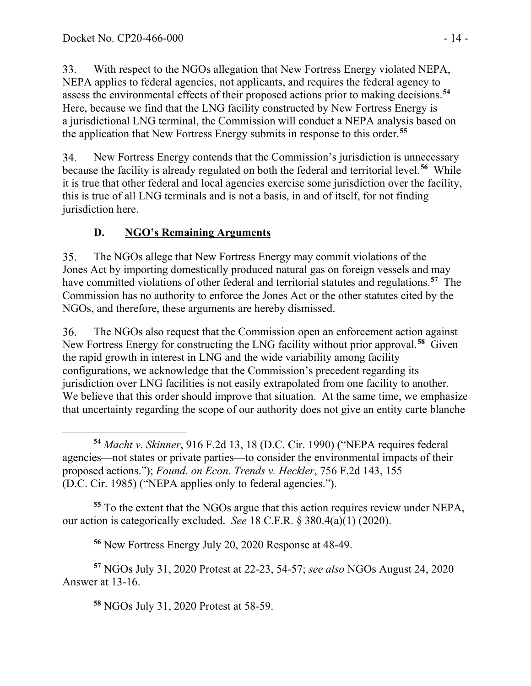33. With respect to the NGOs allegation that New Fortress Energy violated NEPA, NEPA applies to federal agencies, not applicants, and requires the federal agency to assess the environmental effects of their proposed actions prior to making decisions.**[54](#page-13-0)** Here, because we find that the LNG facility constructed by New Fortress Energy is a jurisdictional LNG terminal, the Commission will conduct a NEPA analysis based on the application that New Fortress Energy submits in response to this order.**[55](#page-13-1)**

34. New Fortress Energy contends that the Commission's jurisdiction is unnecessary because the facility is already regulated on both the federal and territorial level.**[56](#page-13-2)** While it is true that other federal and local agencies exercise some jurisdiction over the facility, this is true of all LNG terminals and is not a basis, in and of itself, for not finding jurisdiction here.

# **D. NGO's Remaining Arguments**

35. The NGOs allege that New Fortress Energy may commit violations of the Jones Act by importing domestically produced natural gas on foreign vessels and may have committed violations of other federal and territorial statutes and regulations. **[57](#page-13-3)** The Commission has no authority to enforce the Jones Act or the other statutes cited by the NGOs, and therefore, these arguments are hereby dismissed.

The NGOs also request that the Commission open an enforcement action against 36. New Fortress Energy for constructing the LNG facility without prior approval.**[58](#page-13-4)** Given the rapid growth in interest in LNG and the wide variability among facility configurations, we acknowledge that the Commission's precedent regarding its jurisdiction over LNG facilities is not easily extrapolated from one facility to another. We believe that this order should improve that situation. At the same time, we emphasize that uncertainty regarding the scope of our authority does not give an entity carte blanche

<span id="page-13-1"></span>**<sup>55</sup>** To the extent that the NGOs argue that this action requires review under NEPA, our action is categorically excluded. *See* 18 C.F.R. § 380.4(a)(1) (2020).

**<sup>56</sup>** New Fortress Energy July 20, 2020 Response at 48-49.

<span id="page-13-4"></span><span id="page-13-3"></span><span id="page-13-2"></span>**<sup>57</sup>** NGOs July 31, 2020 Protest at 22-23, 54-57; *see also* NGOs August 24, 2020 Answer at 13-16.

**<sup>58</sup>** NGOs July 31, 2020 Protest at 58-59.

<span id="page-13-0"></span>**<sup>54</sup>** *Macht v. Skinner*, 916 F.2d 13, 18 (D.C. Cir. 1990) ("NEPA requires federal agencies—not states or private parties—to consider the environmental impacts of their proposed actions."); *Found. on Econ. Trends v. Heckler*, 756 F.2d 143, 155 (D.C. Cir. 1985) ("NEPA applies only to federal agencies.").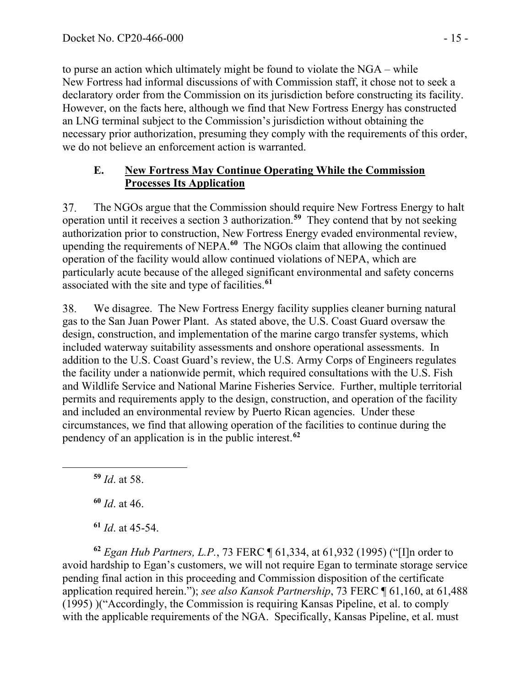to purse an action which ultimately might be found to violate the NGA – while New Fortress had informal discussions of with Commission staff, it chose not to seek a declaratory order from the Commission on its jurisdiction before constructing its facility. However, on the facts here, although we find that New Fortress Energy has constructed an LNG terminal subject to the Commission's jurisdiction without obtaining the necessary prior authorization, presuming they comply with the requirements of this order, we do not believe an enforcement action is warranted.

## **E. New Fortress May Continue Operating While the Commission Processes Its Application**

The NGOs argue that the Commission should require New Fortress Energy to halt 37. operation until it receives a section 3 authorization.**[59](#page-14-0)** They contend that by not seeking authorization prior to construction, New Fortress Energy evaded environmental review, upending the requirements of NEPA.**[60](#page-14-1)** The NGOs claim that allowing the continued operation of the facility would allow continued violations of NEPA, which are particularly acute because of the alleged significant environmental and safety concerns associated with the site and type of facilities.**[61](#page-14-2)**

We disagree. The New Fortress Energy facility supplies cleaner burning natural 38. gas to the San Juan Power Plant. As stated above, the U.S. Coast Guard oversaw the design, construction, and implementation of the marine cargo transfer systems, which included waterway suitability assessments and onshore operational assessments. In addition to the U.S. Coast Guard's review, the U.S. Army Corps of Engineers regulates the facility under a nationwide permit, which required consultations with the U.S. Fish and Wildlife Service and National Marine Fisheries Service. Further, multiple territorial permits and requirements apply to the design, construction, and operation of the facility and included an environmental review by Puerto Rican agencies. Under these circumstances, we find that allowing operation of the facilities to continue during the pendency of an application is in the public interest.**[62](#page-14-3)**

<span id="page-14-0"></span>**<sup>59</sup>** *Id*. at 58.

**<sup>60</sup>** *Id*. at 46.

**<sup>61</sup>** *Id*. at 45-54.

<span id="page-14-3"></span><span id="page-14-2"></span><span id="page-14-1"></span>**<sup>62</sup>** *Egan Hub Partners, L.P.*, 73 FERC ¶ 61,334, at 61,932 (1995) ("[I]n order to avoid hardship to Egan's customers, we will not require Egan to terminate storage service pending final action in this proceeding and Commission disposition of the certificate application required herein."); *see also Kansok Partnership*, 73 FERC ¶ 61,160, at 61,488 (1995) )("Accordingly, the Commission is requiring Kansas Pipeline, et al. to comply with the applicable requirements of the NGA. Specifically, Kansas Pipeline, et al. must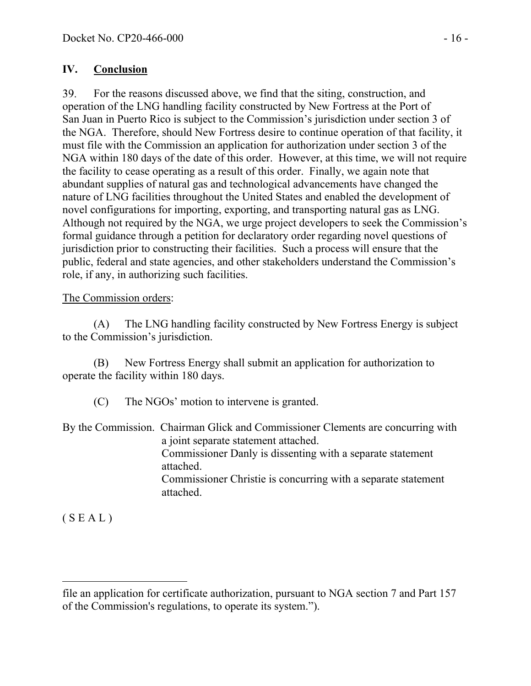## **IV. Conclusion**

For the reasons discussed above, we find that the siting, construction, and 39. operation of the LNG handling facility constructed by New Fortress at the Port of San Juan in Puerto Rico is subject to the Commission's jurisdiction under section 3 of the NGA. Therefore, should New Fortress desire to continue operation of that facility, it must file with the Commission an application for authorization under section 3 of the NGA within 180 days of the date of this order. However, at this time, we will not require the facility to cease operating as a result of this order. Finally, we again note that abundant supplies of natural gas and technological advancements have changed the nature of LNG facilities throughout the United States and enabled the development of novel configurations for importing, exporting, and transporting natural gas as LNG. Although not required by the NGA, we urge project developers to seek the Commission's formal guidance through a petition for declaratory order regarding novel questions of jurisdiction prior to constructing their facilities. Such a process will ensure that the public, federal and state agencies, and other stakeholders understand the Commission's role, if any, in authorizing such facilities.

## The Commission orders:

(A) The LNG handling facility constructed by New Fortress Energy is subject to the Commission's jurisdiction.

(B) New Fortress Energy shall submit an application for authorization to operate the facility within 180 days.

(C) The NGOs' motion to intervene is granted.

By the Commission. Chairman Glick and Commissioner Clements are concurring with a joint separate statement attached. Commissioner Danly is dissenting with a separate statement attached. Commissioner Christie is concurring with a separate statement attached.

 $(S E A L)$ 

file an application for certificate authorization, pursuant to NGA section 7 and Part 157 of the Commission's regulations, to operate its system.").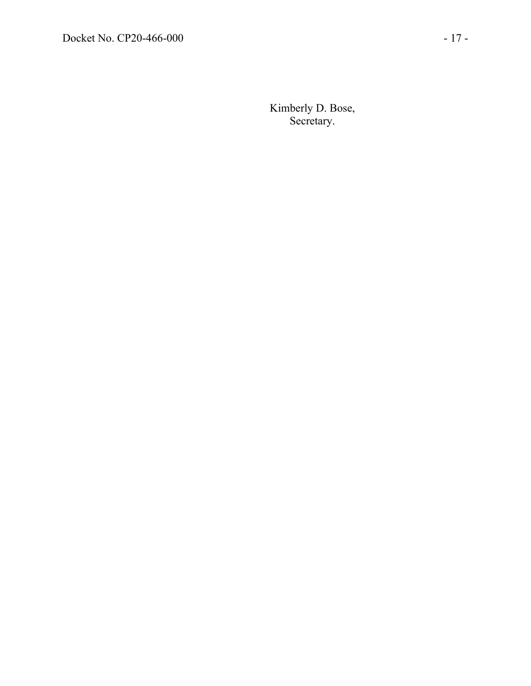Kimberly D. Bose, Secretary.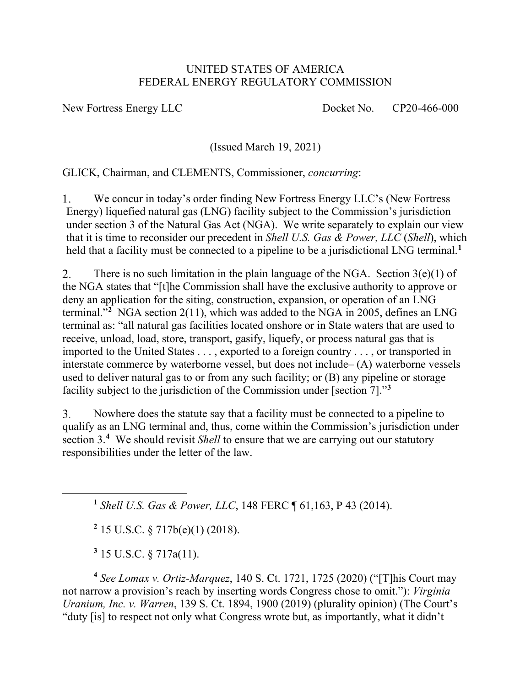### UNITED STATES OF AMERICA FEDERAL ENERGY REGULATORY COMMISSION

New Fortress Energy LLC Docket No. CP20-466-000

(Issued March 19, 2021)

GLICK, Chairman, and CLEMENTS, Commissioner, *concurring*:

We concur in today's order finding New Fortress Energy LLC's (New Fortress  $1_{\cdot}$ Energy) liquefied natural gas (LNG) facility subject to the Commission's jurisdiction under section 3 of the Natural Gas Act (NGA). We write separately to explain our view that it is time to reconsider our precedent in *Shell U.S. Gas & Power, LLC* (*Shell*), which held that a facility must be connected to a pipeline to be a jurisdictional LNG terminal. **[1](#page-17-0)**

 $2.$ There is no such limitation in the plain language of the NGA. Section  $3(e)(1)$  of the NGA states that "[t]he Commission shall have the exclusive authority to approve or deny an application for the siting, construction, expansion, or operation of an LNG terminal."**[2](#page-17-1)** NGA section 2(11), which was added to the NGA in 2005, defines an LNG terminal as: "all natural gas facilities located onshore or in State waters that are used to receive, unload, load, store, transport, gasify, liquefy, or process natural gas that is imported to the United States . . . , exported to a foreign country . . . , or transported in interstate commerce by waterborne vessel, but does not include– (A) waterborne vessels used to deliver natural gas to or from any such facility; or (B) any pipeline or storage facility subject to the jurisdiction of the Commission under [section 7]."**[3](#page-17-2)**

 $3<sub>1</sub>$ Nowhere does the statute say that a facility must be connected to a pipeline to qualify as an LNG terminal and, thus, come within the Commission's jurisdiction under section 3.**[4](#page-17-3)** We should revisit *Shell* to ensure that we are carrying out our statutory responsibilities under the letter of the law.

<span id="page-17-0"></span>**<sup>1</sup>** *Shell U.S. Gas & Power, LLC*, 148 FERC ¶ 61,163, P 43 (2014).

**<sup>2</sup>** 15 U.S.C. § 717b(e)(1) (2018).

**<sup>3</sup>** 15 U.S.C. § 717a(11).

<span id="page-17-3"></span><span id="page-17-2"></span><span id="page-17-1"></span>**<sup>4</sup>** *See Lomax v. Ortiz‐Marquez*, 140 S. Ct. 1721, 1725 (2020) ("[T]his Court may not narrow a provision's reach by inserting words Congress chose to omit."): *Virginia Uranium, Inc. v. Warren*, 139 S. Ct. 1894, 1900 (2019) (plurality opinion) (The Court's "duty [is] to respect not only what Congress wrote but, as importantly, what it didn't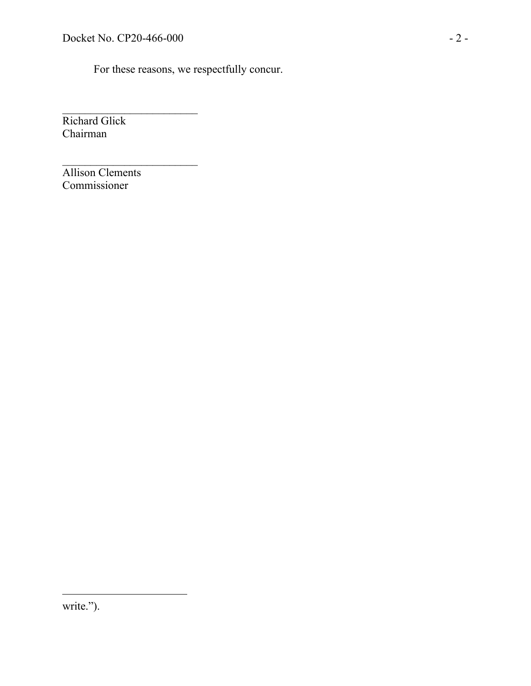$\overline{\phantom{a}}$  , where  $\overline{\phantom{a}}$ 

\_\_\_\_\_\_\_\_\_\_\_\_\_\_\_\_\_\_\_\_\_\_\_\_

For these reasons, we respectfully concur.

Richard Glick Chairman

Allison Clements Commissioner

write.").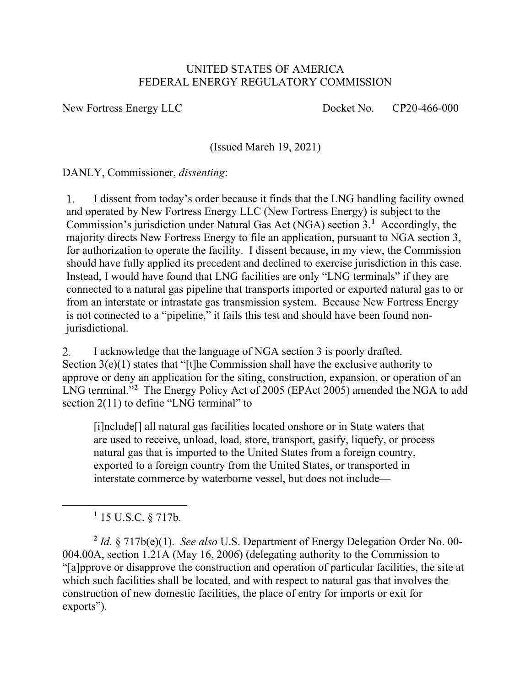### UNITED STATES OF AMERICA FEDERAL ENERGY REGULATORY COMMISSION

New Fortress Energy LLC Docket No. CP20-466-000

(Issued March 19, 2021)

DANLY, Commissioner, *dissenting*:

I dissent from today's order because it finds that the LNG handling facility owned  $\mathbf{1}$ . and operated by New Fortress Energy LLC (New Fortress Energy) is subject to the Commission's jurisdiction under Natural Gas Act (NGA) section 3. **[1](#page-19-0)** Accordingly, the majority directs New Fortress Energy to file an application, pursuant to NGA section 3, for authorization to operate the facility. I dissent because, in my view, the Commission should have fully applied its precedent and declined to exercise jurisdiction in this case. Instead, I would have found that LNG facilities are only "LNG terminals" if they are connected to a natural gas pipeline that transports imported or exported natural gas to or from an interstate or intrastate gas transmission system. Because New Fortress Energy is not connected to a "pipeline," it fails this test and should have been found nonjurisdictional.

2. I acknowledge that the language of NGA section 3 is poorly drafted. Section  $3(e)(1)$  states that "[t]he Commission shall have the exclusive authority to approve or deny an application for the siting, construction, expansion, or operation of an LNG terminal."**[2](#page-19-1)** The Energy Policy Act of 2005 (EPAct 2005) amended the NGA to add section 2(11) to define "LNG terminal" to

[i]nclude[] all natural gas facilities located onshore or in State waters that are used to receive, unload, load, store, transport, gasify, liquefy, or process natural gas that is imported to the United States from a foreign country, exported to a foreign country from the United States, or transported in interstate commerce by waterborne vessel, but does not include—

**<sup>1</sup>** 15 U.S.C. § 717b.

<span id="page-19-1"></span><span id="page-19-0"></span>**<sup>2</sup>** *Id.* § 717b(e)(1). *See also* U.S. Department of Energy Delegation Order No. 00- 004.00A, section 1.21A (May 16, 2006) (delegating authority to the Commission to "[a]pprove or disapprove the construction and operation of particular facilities, the site at which such facilities shall be located, and with respect to natural gas that involves the construction of new domestic facilities, the place of entry for imports or exit for exports").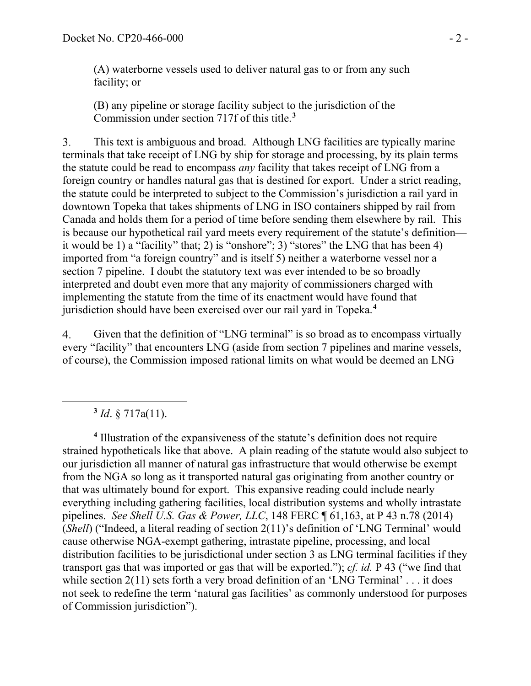(A) waterborne vessels used to deliver natural gas to or from any such facility; or

(B) any pipeline or storage facility subject to the jurisdiction of the Commission under section 717f of this title.**[3](#page-20-0)**

3. This text is ambiguous and broad. Although LNG facilities are typically marine terminals that take receipt of LNG by ship for storage and processing, by its plain terms the statute could be read to encompass *any* facility that takes receipt of LNG from a foreign country or handles natural gas that is destined for export. Under a strict reading, the statute could be interpreted to subject to the Commission's jurisdiction a rail yard in downtown Topeka that takes shipments of LNG in ISO containers shipped by rail from Canada and holds them for a period of time before sending them elsewhere by rail. This is because our hypothetical rail yard meets every requirement of the statute's definition it would be 1) a "facility" that; 2) is "onshore"; 3) "stores" the LNG that has been 4) imported from "a foreign country" and is itself 5) neither a waterborne vessel nor a section 7 pipeline. I doubt the statutory text was ever intended to be so broadly interpreted and doubt even more that any majority of commissioners charged with implementing the statute from the time of its enactment would have found that jurisdiction should have been exercised over our rail yard in Topeka.**[4](#page-20-1)**

Given that the definition of "LNG terminal" is so broad as to encompass virtually  $\overline{4}$ . every "facility" that encounters LNG (aside from section 7 pipelines and marine vessels, of course), the Commission imposed rational limits on what would be deemed an LNG

**<sup>3</sup>** *Id*. § 717a(11).

<span id="page-20-1"></span><span id="page-20-0"></span>**<sup>4</sup>** Illustration of the expansiveness of the statute's definition does not require strained hypotheticals like that above. A plain reading of the statute would also subject to our jurisdiction all manner of natural gas infrastructure that would otherwise be exempt from the NGA so long as it transported natural gas originating from another country or that was ultimately bound for export. This expansive reading could include nearly everything including gathering facilities, local distribution systems and wholly intrastate pipelines. *See Shell U.S. Gas & Power, LLC*, 148 FERC ¶ 61,163, at P 43 n.78 (2014) (*Shell*) ("Indeed, a literal reading of section 2(11)'s definition of 'LNG Terminal' would cause otherwise NGA-exempt gathering, intrastate pipeline, processing, and local distribution facilities to be jurisdictional under section 3 as LNG terminal facilities if they transport gas that was imported or gas that will be exported."); *cf. id.* P 43 ("we find that while section 2(11) sets forth a very broad definition of an 'LNG Terminal' . . . it does not seek to redefine the term 'natural gas facilities' as commonly understood for purposes of Commission jurisdiction").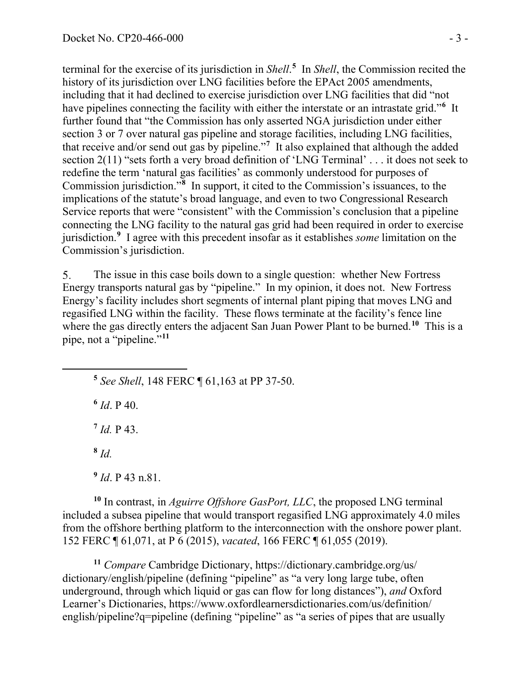terminal for the exercise of its jurisdiction in *Shell*.<sup>[5](#page-21-0)</sup> In *Shell*, the Commission recited the history of its jurisdiction over LNG facilities before the EPAct 2005 amendments, including that it had declined to exercise jurisdiction over LNG facilities that did "not have pipelines connecting the facility with either the interstate or an intrastate grid."**[6](#page-21-1)** It further found that "the Commission has only asserted NGA jurisdiction under either section 3 or 7 over natural gas pipeline and storage facilities, including LNG facilities, that receive and/or send out gas by pipeline."**[7](#page-21-2)** It also explained that although the added section 2(11) "sets forth a very broad definition of 'LNG Terminal' . . . it does not seek to redefine the term 'natural gas facilities' as commonly understood for purposes of Commission jurisdiction."**[8](#page-21-3)** In support, it cited to the Commission's issuances, to the implications of the statute's broad language, and even to two Congressional Research Service reports that were "consistent" with the Commission's conclusion that a pipeline connecting the LNG facility to the natural gas grid had been required in order to exercise jurisdiction.**[9](#page-21-4)** I agree with this precedent insofar as it establishes *some* limitation on the Commission's jurisdiction.

5. The issue in this case boils down to a single question: whether New Fortress Energy transports natural gas by "pipeline." In my opinion, it does not. New Fortress Energy's facility includes short segments of internal plant piping that moves LNG and regasified LNG within the facility. These flows terminate at the facility's fence line where the gas directly enters the adjacent San Juan Power Plant to be burned. **[10](#page-21-5)** This is a pipe, not a "pipeline."**[11](#page-21-6)**

<span id="page-21-0"></span>**<sup>5</sup>** *See Shell*, 148 FERC ¶ 61,163 at PP 37-50.

<span id="page-21-1"></span> $6$  *Id*. P 40.

<span id="page-21-2"></span>**<sup>7</sup>** *Id.* P 43.

**<sup>8</sup>** *Id.* 

**<sup>9</sup>** *Id*. P 43 n.81.

<span id="page-21-5"></span><span id="page-21-4"></span><span id="page-21-3"></span>**<sup>10</sup>** In contrast, in *Aguirre Offshore GasPort, LLC*, the proposed LNG terminal included a subsea pipeline that would transport regasified LNG approximately 4.0 miles from the offshore berthing platform to the interconnection with the onshore power plant. 152 FERC ¶ 61,071, at P 6 (2015), *vacated*, 166 FERC ¶ 61,055 (2019).

<span id="page-21-6"></span>**<sup>11</sup>** *Compare* Cambridge Dictionary, https://dictionary.cambridge.org/us/ dictionary/english/pipeline (defining "pipeline" as "a very long large tube, often underground, through which liquid or gas can flow for long distances"), *and* Oxford Learner's Dictionaries, https://www.oxfordlearnersdictionaries.com/us/definition/ english/pipeline?q=pipeline (defining "pipeline" as "a series of pipes that are usually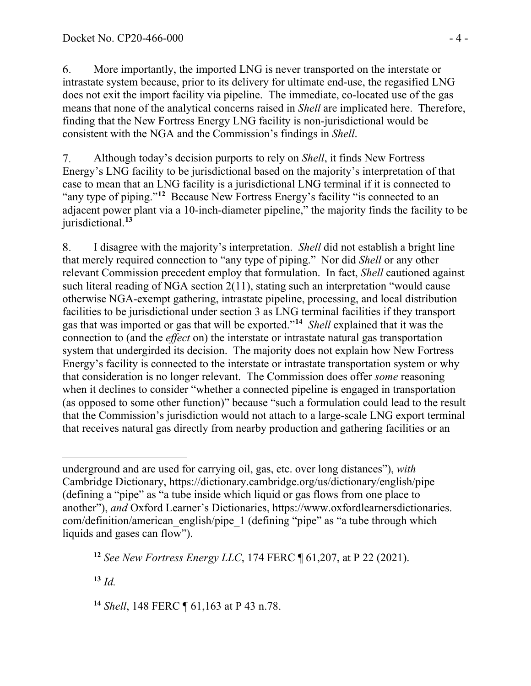6. More importantly, the imported LNG is never transported on the interstate or intrastate system because, prior to its delivery for ultimate end-use, the regasified LNG does not exit the import facility via pipeline. The immediate, co-located use of the gas means that none of the analytical concerns raised in *Shell* are implicated here. Therefore, finding that the New Fortress Energy LNG facility is non-jurisdictional would be consistent with the NGA and the Commission's findings in *Shell*.

Although today's decision purports to rely on *Shell*, it finds New Fortress  $7_{\cdot}$ Energy's LNG facility to be jurisdictional based on the majority's interpretation of that case to mean that an LNG facility is a jurisdictional LNG terminal if it is connected to "any type of piping."**[12](#page-22-0)** Because New Fortress Energy's facility "is connected to an adjacent power plant via a 10-inch-diameter pipeline," the majority finds the facility to be jurisdictional.**[13](#page-22-1)**

I disagree with the majority's interpretation. *Shell* did not establish a bright line 8. that merely required connection to "any type of piping." Nor did *Shell* or any other relevant Commission precedent employ that formulation. In fact, *Shell* cautioned against such literal reading of NGA section 2(11), stating such an interpretation "would cause otherwise NGA-exempt gathering, intrastate pipeline, processing, and local distribution facilities to be jurisdictional under section 3 as LNG terminal facilities if they transport gas that was imported or gas that will be exported."**[14](#page-22-2)** *Shell* explained that it was the connection to (and the *effect* on) the interstate or intrastate natural gas transportation system that undergirded its decision. The majority does not explain how New Fortress Energy's facility is connected to the interstate or intrastate transportation system or why that consideration is no longer relevant. The Commission does offer *some* reasoning when it declines to consider "whether a connected pipeline is engaged in transportation (as opposed to some other function)" because "such a formulation could lead to the result that the Commission's jurisdiction would not attach to a large-scale LNG export terminal that receives natural gas directly from nearby production and gathering facilities or an

<span id="page-22-1"></span>**<sup>13</sup>** *Id.*

underground and are used for carrying oil, gas, etc. over long distances"), *with* Cambridge Dictionary, https://dictionary.cambridge.org/us/dictionary/english/pipe (defining a "pipe" as "a tube inside which liquid or gas flows from one place to another"), *and* Oxford Learner's Dictionaries, https://www.oxfordlearnersdictionaries. com/definition/american\_english/pipe\_1 (defining "pipe" as "a tube through which liquids and gases can flow").

<span id="page-22-0"></span>**<sup>12</sup>** *See New Fortress Energy LLC*, 174 FERC ¶ 61,207, at P 22 (2021).

<span id="page-22-2"></span>**<sup>14</sup>** *Shell*, 148 FERC ¶ 61,163 at P 43 n.78.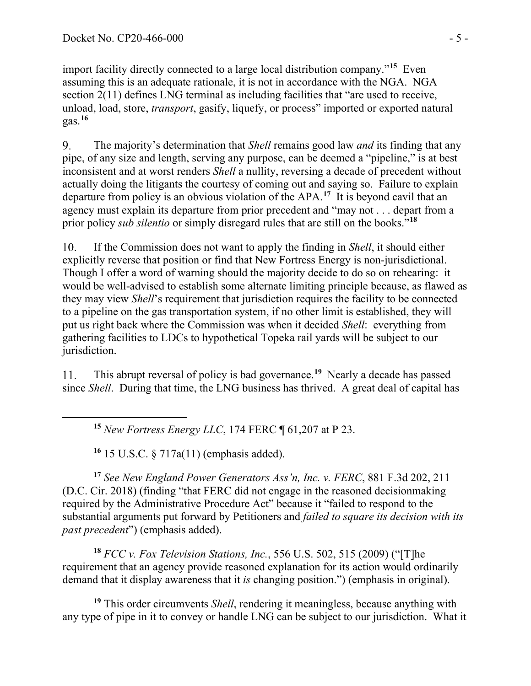import facility directly connected to a large local distribution company."**[15](#page-23-0)** Even assuming this is an adequate rationale, it is not in accordance with the NGA. NGA section 2(11) defines LNG terminal as including facilities that "are used to receive, unload, load, store, *transport*, gasify, liquefy, or process" imported or exported natural gas.**[16](#page-23-1)**

The majority's determination that *Shell* remains good law *and* its finding that any 9. pipe, of any size and length, serving any purpose, can be deemed a "pipeline," is at best inconsistent and at worst renders *Shell* a nullity, reversing a decade of precedent without actually doing the litigants the courtesy of coming out and saying so. Failure to explain departure from policy is an obvious violation of the APA.**[17](#page-23-2)** It is beyond cavil that an agency must explain its departure from prior precedent and "may not . . . depart from a prior policy *sub silentio* or simply disregard rules that are still on the books."**[18](#page-23-3)**

If the Commission does not want to apply the finding in *Shell*, it should either 10. explicitly reverse that position or find that New Fortress Energy is non-jurisdictional. Though I offer a word of warning should the majority decide to do so on rehearing: it would be well-advised to establish some alternate limiting principle because, as flawed as they may view *Shell*'s requirement that jurisdiction requires the facility to be connected to a pipeline on the gas transportation system, if no other limit is established, they will put us right back where the Commission was when it decided *Shell*: everything from gathering facilities to LDCs to hypothetical Topeka rail yards will be subject to our jurisdiction.

This abrupt reversal of policy is bad governance.**[19](#page-23-4)** Nearly a decade has passed 11. since *Shell*. During that time, the LNG business has thrived. A great deal of capital has

**<sup>15</sup>** *New Fortress Energy LLC*, 174 FERC ¶ 61,207 at P 23.

**<sup>16</sup>** 15 U.S.C. § 717a(11) (emphasis added).

<span id="page-23-2"></span><span id="page-23-1"></span><span id="page-23-0"></span>**<sup>17</sup>** *See New England Power Generators Ass'n, Inc. v. FERC*, 881 F.3d 202, 211 (D.C. Cir. 2018) (finding "that FERC did not engage in the reasoned decisionmaking required by the Administrative Procedure Act" because it "failed to respond to the substantial arguments put forward by Petitioners and *failed to square its decision with its past precedent*") (emphasis added).

<span id="page-23-3"></span>**<sup>18</sup>** *FCC v. Fox Television Stations, Inc.*, 556 U.S. 502, 515 (2009) ("[T]he requirement that an agency provide reasoned explanation for its action would ordinarily demand that it display awareness that it *is* changing position.") (emphasis in original).

<span id="page-23-4"></span>**<sup>19</sup>** This order circumvents *Shell*, rendering it meaningless, because anything with any type of pipe in it to convey or handle LNG can be subject to our jurisdiction. What it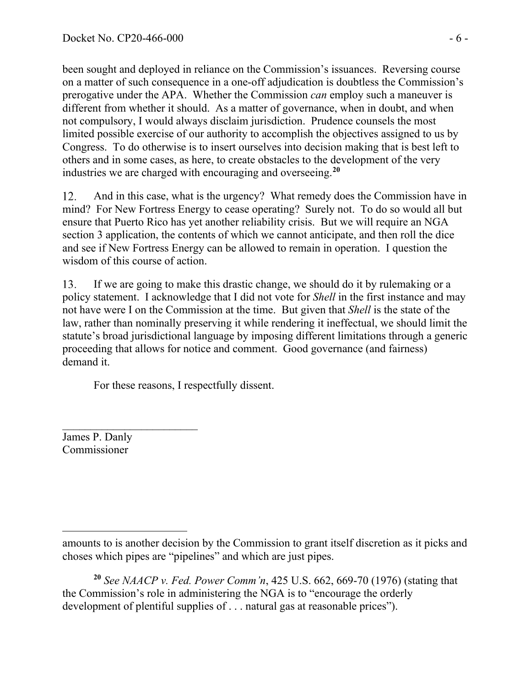been sought and deployed in reliance on the Commission's issuances. Reversing course on a matter of such consequence in a one-off adjudication is doubtless the Commission's prerogative under the APA. Whether the Commission *can* employ such a maneuver is different from whether it should. As a matter of governance, when in doubt, and when not compulsory, I would always disclaim jurisdiction. Prudence counsels the most limited possible exercise of our authority to accomplish the objectives assigned to us by Congress. To do otherwise is to insert ourselves into decision making that is best left to others and in some cases, as here, to create obstacles to the development of the very industries we are charged with encouraging and overseeing.**[20](#page-24-0)**

12. And in this case, what is the urgency? What remedy does the Commission have in mind? For New Fortress Energy to cease operating? Surely not. To do so would all but ensure that Puerto Rico has yet another reliability crisis. But we will require an NGA section 3 application, the contents of which we cannot anticipate, and then roll the dice and see if New Fortress Energy can be allowed to remain in operation. I question the wisdom of this course of action.

13. If we are going to make this drastic change, we should do it by rulemaking or a policy statement. I acknowledge that I did not vote for *Shell* in the first instance and may not have were I on the Commission at the time. But given that *Shell* is the state of the law, rather than nominally preserving it while rendering it ineffectual, we should limit the statute's broad jurisdictional language by imposing different limitations through a generic proceeding that allows for notice and comment. Good governance (and fairness) demand it.

For these reasons, I respectfully dissent.

 $\overline{\phantom{a}}$  , where  $\overline{\phantom{a}}$ James P. Danly Commissioner

amounts to is another decision by the Commission to grant itself discretion as it picks and choses which pipes are "pipelines" and which are just pipes.

<span id="page-24-0"></span>**<sup>20</sup>** *See NAACP v. Fed. Power Comm'n*, 425 U.S. 662, 669-70 (1976) (stating that the Commission's role in administering the NGA is to "encourage the orderly development of plentiful supplies of . . . natural gas at reasonable prices").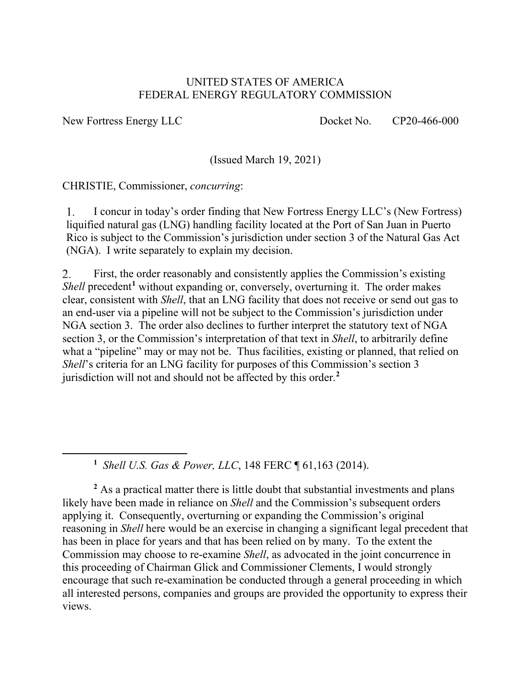### UNITED STATES OF AMERICA FEDERAL ENERGY REGULATORY COMMISSION

New Fortress Energy LLC Docket No. CP20-466-000

(Issued March 19, 2021)

CHRISTIE, Commissioner, *concurring*:

I concur in today's order finding that New Fortress Energy LLC's (New Fortress)  $\mathbf{1}$ . liquified natural gas (LNG) handling facility located at the Port of San Juan in Puerto Rico is subject to the Commission's jurisdiction under section 3 of the Natural Gas Act (NGA). I write separately to explain my decision.

 $2.$ First, the order reasonably and consistently applies the Commission's existing *Shell* precedent<sup>[1](#page-25-0)</sup> without expanding or, conversely, overturning it. The order makes clear, consistent with *Shell*, that an LNG facility that does not receive or send out gas to an end-user via a pipeline will not be subject to the Commission's jurisdiction under NGA section 3. The order also declines to further interpret the statutory text of NGA section 3, or the Commission's interpretation of that text in *Shell*, to arbitrarily define what a "pipeline" may or may not be. Thus facilities, existing or planned, that relied on *Shell*'s criteria for an LNG facility for purposes of this Commission's section 3 jurisdiction will not and should not be affected by this order. **[2](#page-25-1)**

**1** *Shell U.S. Gas & Power, LLC*, 148 FERC ¶ 61,163 (2014).

<span id="page-25-1"></span><span id="page-25-0"></span><sup>2</sup> As a practical matter there is little doubt that substantial investments and plans likely have been made in reliance on *Shell* and the Commission's subsequent orders applying it. Consequently, overturning or expanding the Commission's original reasoning in *Shell* here would be an exercise in changing a significant legal precedent that has been in place for years and that has been relied on by many. To the extent the Commission may choose to re-examine *Shell*, as advocated in the joint concurrence in this proceeding of Chairman Glick and Commissioner Clements, I would strongly encourage that such re-examination be conducted through a general proceeding in which all interested persons, companies and groups are provided the opportunity to express their views.